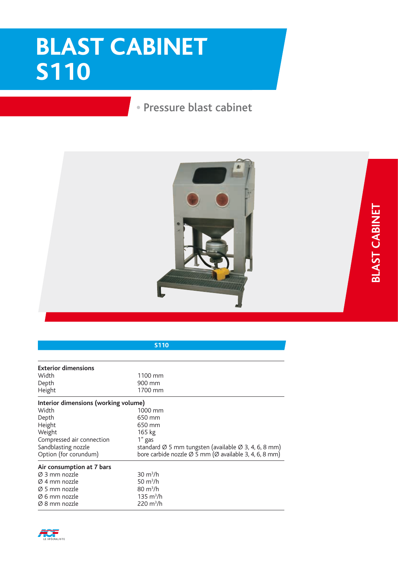## **BLAST CABINET S110**

## • Pressure blast cabinet



| <b>S110</b>                          |                                                                                 |
|--------------------------------------|---------------------------------------------------------------------------------|
|                                      |                                                                                 |
| <b>Exterior dimensions</b>           |                                                                                 |
| Width                                | 1100 mm                                                                         |
| Depth                                | 900 mm                                                                          |
| Height                               | 1700 mm                                                                         |
| Interior dimensions (working volume) |                                                                                 |
| Width                                | 1000 mm                                                                         |
| Depth                                | 650 mm                                                                          |
| Height                               | 650 mm                                                                          |
| Weight                               | 165 kg                                                                          |
| Compressed air connection            | 1" gas                                                                          |
| Sandblasting nozzle                  | standard Ø 5 mm tungsten (available Ø 3, 4, 6, 8 mm)                            |
| Option (for corundum)                | bore carbide nozzle $\varnothing$ 5 mm ( $\varnothing$ available 3, 4, 6, 8 mm) |
| Air consumption at 7 bars            |                                                                                 |
| Ø 3 mm nozzle                        | $30 \text{ m}^3/h$                                                              |
| Ø 4 mm nozzle                        | 50 $m^3/h$                                                                      |
| Ø 5 mm nozzle                        | $80 \text{ m}^3/h$                                                              |
| Ø 6 mm nozzle                        | $135 \text{ m}^3/\text{h}$                                                      |
| Ø 8 mm nozzle                        | $220 \text{ m}^3/h$                                                             |